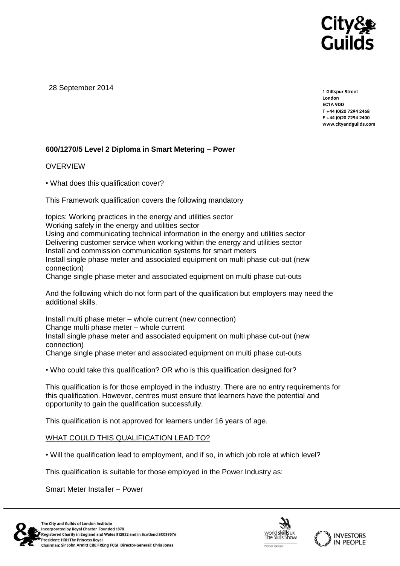

28 September 2014

**1 Giltspur Street EC1A 9DD** T +44 (0) 20 7 294 2468 **T +44 (0)20 7294 246[8](http://www.cityandguilds.com/) F +44 (0)20 7294 2400 [www.cityandguilds.com](http://www.cityandguilds.com/)**

## **600/1270/5 Level 2 Diploma in Smart Metering – Power**

## **OVERVIEW**

• What does this qualification cover?

This Framework qualification covers the following mandatory

topics: Working practices in the energy and utilities sector Working safely in the energy and utilities sector Using and communicating technical information in the energy and utilities sector Delivering customer service when working within the energy and utilities sector Install and commission communication systems for smart meters Install single phase meter and associated equipment on multi phase cut-out (new connection)

Change single phase meter and associated equipment on multi phase cut-outs

And the following which do not form part of the qualification but employers may need the additional skills.

Install multi phase meter – whole current (new connection) Change multi phase meter – whole current Install single phase meter and associated equipment on multi phase cut-out (new connection)

Change single phase meter and associated equipment on multi phase cut-outs

• Who could take this qualification? OR who is this qualification designed for?

This qualification is for those employed in the industry. There are no entry requirements for this qualification. However, centres must ensure that learners have the potential and opportunity to gain the qualification successfully.

This qualification is not approved for learners under 16 years of age.

## WHAT COULD THIS QUALIFICATION LEAD TO?

• Will the qualification lead to employment, and if so, in which job role at which level?

This qualification is suitable for those employed in the Power Industry as:

Smart Meter Installer – Power